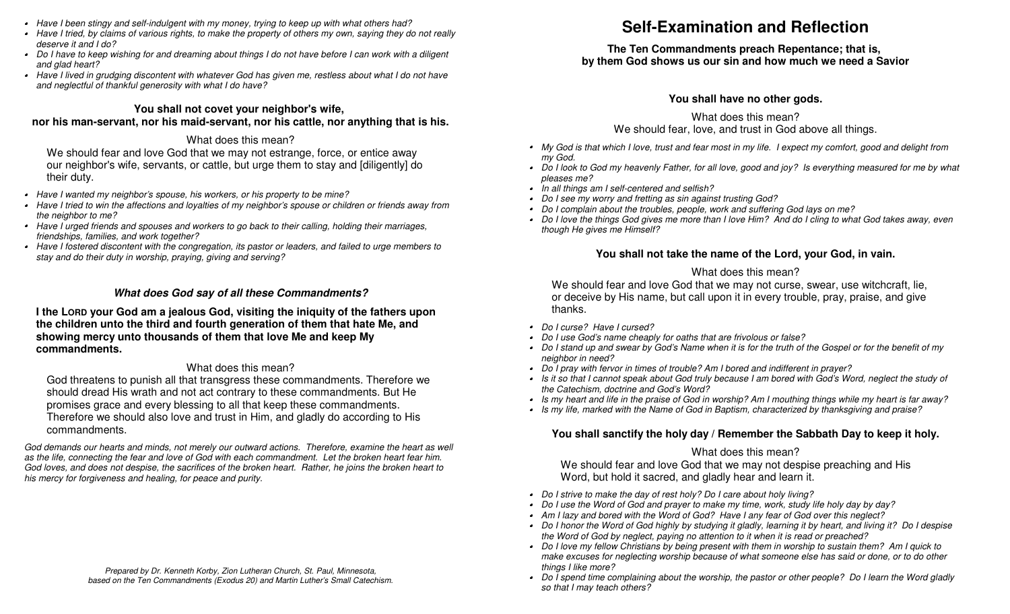- *Have I been stingy and self-indulgent with my money, trying to keep up with what others had?*
- Have I tried, by claims of various rights, to make the property of others my own, saying they do not really *deserve it and I do?*
- *Do I have to keep wishing for and drea ming about things I do not have before I can work with a diligent and glad heart?*
- *Have I lived in grudging discontent with whatever God has given me, restless about what I do not have and neglectful of than kful generosity with what I do have?*

#### **You shall not covet your n eighbor's wife, nor his man-servant, nor his maid-servant, nor his cattle, nor a nything th at is his.**

### What does this mean?

We should fear and love God that we may not estrange, force, or entice away our neighbor's wife, s ervants, or c attle, but urge them to stay and [diligently] do their duty.

- *Have I wanted my neighbor's spouse, his workers, or his property to be mine?*
- *Have I tried to win the affections and loyalties of my neighbor's spouse or children or friends a way from the neighbor to me?*
- *Have I urged friends and spouses and workers to go back to their calling, holding their m arriages, friendships, fa milies, and work together?*
- *Have I fostered discontent with the congregation, its pastor or leaders, and failed to urge members tostay and do their duty in worship, praying, giving and serving?*

## *Wh at does God say of all these Commandme nts ?*

**l** the Lorp your God am a jealous God, visiting the iniquity of the fathers upon **the chil dren unto the third and fourth g eneration of t hem that hate Me, and** showing mercy unto thousands of them that love Me and keep My **commandments.**

## What does this mean?

God threatens to punish all that transgress these commandments. Therefore we should dread His wrath and not act contrary to these commandments. But He pro mises gra ce and every blessing to all that keep the se commandments. Therefore we should also love and trust in Him, and gladly do according to His commandments.

*God de mands our hearts and minds, not merely our outward actions. Therefore, exa mine the heart as well as the life, connecting the fear and love of God with each commandment. Let the broken heart fear him. God loves, and does not despise, the sacrifices of the broken heart. Rather, he joins the broken heart to his mercy for forgiveness and healing, for peace and purity.*

# **Self-Examination and Reflection**

## **The Ten Commandments preach Rep entance; t hat is, by th em God sho ws us our sin and how mu ch we need a Savior**

## **You shall have no other god s.**

What does this mean?We should fear, love, and trust in God above all things.

- *My God is that which I love, trust and fear most in my life. I expect my comfort, good and delight from my God.*
- *Do I look to God my heavenly Father, for all love, good and joy? Is everything measured for me by what pleases me?*
- *In all things am I self-centered and selfish?*
- *Do I see my worry and fretting as sin against trusting God?*
- *Do I complain about the troubles, people, work and suffering God lays on me?*
- *Do I love the things God gives me more than I love Him? And do I cling to what God ta kes away, even though He gives me Himself?*

## You shall not take the name of the Lord, your God, in vain.

## What does this mean?

We should fear and love God that we may not curse, swear, use witchcraft, lie, or deceive by His name, but call upon it in every trouble, pray, praise, and give thanks.

- *Do I curse? Have I cursed?*
- *Do I use God's na me cheaply for oaths that are frivolous or false?*
- *Do I stand up and swear by God's Na me when it is for the truth of the Gospel or for the benefit of my neighbor in need?*
- *Do I pray with fervor in times of trouble? Am I bored and indifferent in prayer?*
- *Is it so that I cannot speak about God truly because I am bored with God's Word, neglect the study of the Catechism, doctrine and God's Word?*
- *Is my heart and life in the praise of God in worship? Am I mouthing things while my heart is far a way?*
- *Is my life, m arked with the Name of God in Baptism, characterized by thanks giving and praise?*

## You shall sanctify the holy day / Remember the Sabbath Day to keep it holy.

#### What does this mean?

We should fear and love God that we may not despise preaching and His Word, but hold it s acred, and gladly hear and learn it.

- *Do I strive to ma ke the day of rest holy? Do I care about holy living?*
- Do I use the Word of God and prayer to make my time, work, study life holy day by day?
- *Am I lazy and bored with the Word of God? Have I any fear of God over this neglect?*
- *Do I honor the Word of God highly by studying it gladly, learning it by heart, and living it? Do I despise the Word of God by neglect, paying no attention to it when it is read or preached?*
- *Do I love my fellow C hristians by being present with them in worship to sustain the m? Am I quick to make excuses for neglecting worship because of what someone else has s aid or done, or to do other things I like more?*
- *Do I spend time complaining about the worship, the pastor or other people? Do I learn the Word gladly so that I m ay teach others?*